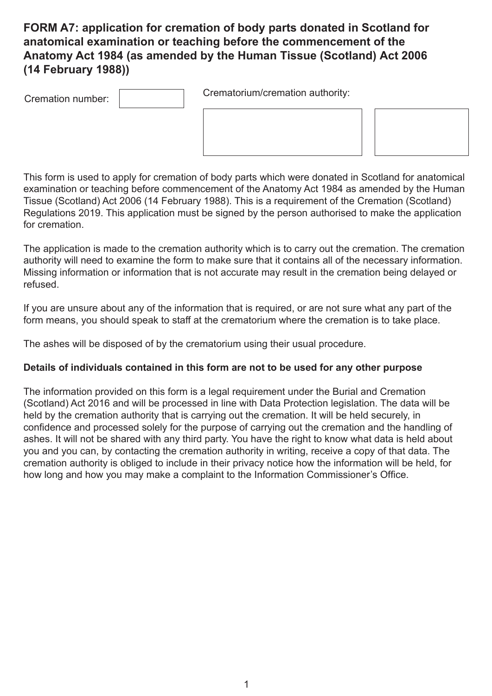# **FORM A7: application for cremation of body parts donated in Scotland for anatomical examination or teaching before the commencement of the Anatomy Act 1984 (as amended by the Human Tissue (Scotland) Act 2006 (14 February 1988))**

Cremation number: Crematorium/cremation authority:

This form is used to apply for cremation of body parts which were donated in Scotland for anatomical examination or teaching before commencement of the Anatomy Act 1984 as amended by the Human Tissue (Scotland) Act 2006 (14 February 1988). This is a requirement of the Cremation (Scotland) Regulations 2019. This application must be signed by the person authorised to make the application for cremation.

The application is made to the cremation authority which is to carry out the cremation. The cremation authority will need to examine the form to make sure that it contains all of the necessary information. Missing information or information that is not accurate may result in the cremation being delayed or refused.

If you are unsure about any of the information that is required, or are not sure what any part of the form means, you should speak to staff at the crematorium where the cremation is to take place.

The ashes will be disposed of by the crematorium using their usual procedure.

#### **Details of individuals contained in this form are not to be used for any other purpose**

The information provided on this form is a legal requirement under the Burial and Cremation (Scotland) Act 2016 and will be processed in line with Data Protection legislation. The data will be held by the cremation authority that is carrying out the cremation. It will be held securely, in confidence and processed solely for the purpose of carrying out the cremation and the handling of ashes. It will not be shared with any third party. You have the right to know what data is held about you and you can, by contacting the cremation authority in writing, receive a copy of that data. The cremation authority is obliged to include in their privacy notice how the information will be held, for how long and how you may make a complaint to the Information Commissioner's Office.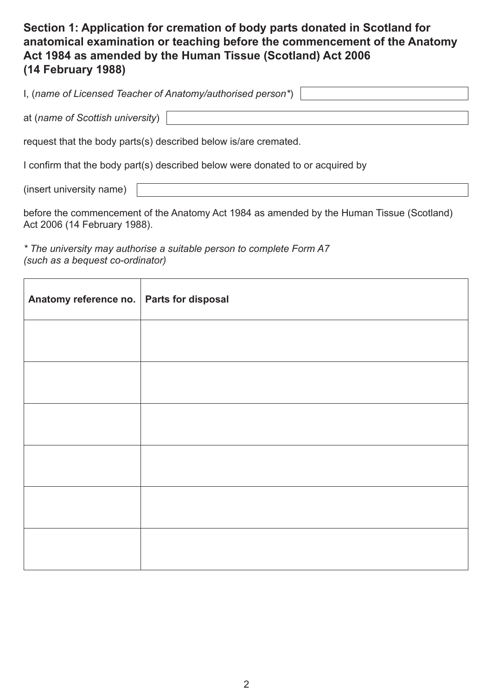## **Section 1: Application for cremation of body parts donated in Scotland for anatomical examination or teaching before the commencement of the Anatomy Act 1984 as amended by the Human Tissue (Scotland) Act 2006 (14 February 1988)**

| I, (name of Licensed Teacher of Anatomy/authorised person*) |  |
|-------------------------------------------------------------|--|
|                                                             |  |
|                                                             |  |

at (*name of Scottish university*)

request that the body parts(s) described below is/are cremated.

I confirm that the body part(s) described below were donated to or acquired by

(insert university name)

before the commencement of the Anatomy Act 1984 as amended by the Human Tissue (Scotland) Act 2006 (14 February 1988).

*\* The university may authorise a suitable person to complete Form A7 (such as a bequest co-ordinator)*

| Anatomy reference no.   Parts for disposal |  |
|--------------------------------------------|--|
|                                            |  |
|                                            |  |
|                                            |  |
|                                            |  |
|                                            |  |
|                                            |  |